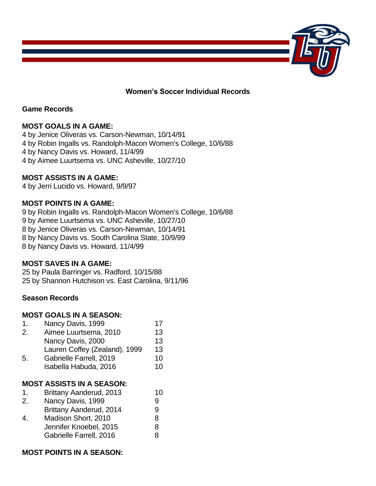

**Women's Soccer Individual Records**

### **Game Records**

## **MOST GOALS IN A GAME:**

4 by Jenice Oliveras vs. Carson-Newman, 10/14/91 4 by Robin Ingalls vs. Randolph-Macon Women's College, 10/6/88 4 by Nancy Davis vs. Howard, 11/4/99 4 by Aimee Luurtsema vs. UNC Asheville, 10/27/10

#### **MOST ASSISTS IN A GAME:**

4 by Jerri Lucido vs. Howard, 9/9/97

#### **MOST POINTS IN A GAME:**

9 by Robin Ingalls vs. Randolph-Macon Women's College, 10/6/88 9 by Aimee Luurtsema vs. UNC Asheville, 10/27/10 8 by Jenice Oliveras vs. Carson-Newman, 10/14/91 8 by Nancy Davis vs. South Carolina State, 10/9/99 8 by Nancy Davis vs. Howard, 11/4/99

### **MOST SAVES IN A GAME:**

25 by Paula Barringer vs. Radford, 10/15/88 25 by Shannon Hutchison vs. East Carolina, 9/11/96

#### **Season Records**

#### **MOST GOALS IN A SEASON:**

| $\mathbf{1}$ . | Nancy Davis, 1999                        | 17 |
|----------------|------------------------------------------|----|
| 2.             | Aimee Luurtsema, 2010                    | 13 |
|                | Nancy Davis, 2000                        | 13 |
|                | Lauren Coffey (Zealand), 1999            | 13 |
| 5.             | Gabrielle Farrell, 2019                  | 10 |
|                | Isabella Habuda, 2016                    | 10 |
|                | <b>MOST ASSISTS IN A SEASON:</b>         |    |
| $1_{\cdot}$    | Brittany Aanderud, 2013                  | 10 |
|                | $M_{\text{max}} = N_{\text{max}} - 4000$ | ⌒  |

| 2. | Nancy Davis, 1999       | 9 |
|----|-------------------------|---|
|    | Brittany Aanderud, 2014 | 9 |

4. Madison Short, 2010 8 Jennifer Knoebel, 2015 8 Gabrielle Farrell, 2016 8

## **MOST POINTS IN A SEASON:**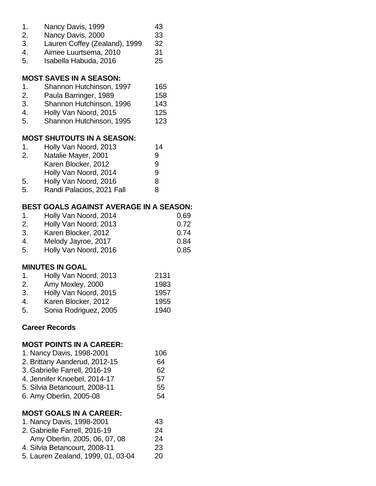| 1.<br>2.<br>3.<br>4.<br>5. | Nancy Davis, 1999<br>Nancy Davis, 2000<br>Lauren Coffey (Zealand), 1999<br>Aimee Luurtsema, 2010<br>Isabella Habuda, 2016 | 43<br>33<br>32<br>31<br>25 |      |
|----------------------------|---------------------------------------------------------------------------------------------------------------------------|----------------------------|------|
|                            | <b>MOST SAVES IN A SEASON:</b>                                                                                            |                            |      |
| 1.                         | Shannon Hutchinson, 1997                                                                                                  | 165                        |      |
| 2.                         | Paula Barringer, 1989                                                                                                     | 158                        |      |
| 3.                         | Shannon Hutchinson, 1996                                                                                                  | 143                        |      |
| 4.                         | Holly Van Noord, 2015                                                                                                     | 125                        |      |
| 5.                         | Shannon Hutchinson, 1995                                                                                                  | 123                        |      |
|                            | <b>MOST SHUTOUTS IN A SEASON:</b>                                                                                         |                            |      |
| 1.                         | Holly Van Noord, 2013                                                                                                     | 14                         |      |
| 2.                         | Natalie Mayer, 2001                                                                                                       | 9                          |      |
|                            | Karen Blocker, 2012                                                                                                       | 9                          |      |
|                            | Holly Van Noord, 2014                                                                                                     | 9                          |      |
| 5.                         | Holly Van Noord, 2016                                                                                                     | 8                          |      |
| 5.                         | Randi Palacios, 2021 Fall                                                                                                 | 8                          |      |
|                            | <b>BEST GOALS AGAINST AVERAGE IN A SEASON:</b>                                                                            |                            |      |
| 1.                         | Holly Van Noord, 2014                                                                                                     |                            | 0.69 |
| 2.                         | Holly Van Noord, 2013                                                                                                     |                            | 0.72 |
| 3.                         | Karen Blocker, 2012                                                                                                       |                            | 0.74 |
| 4.                         | Melody Jayroe, 2017                                                                                                       |                            | 0.84 |
| 5.                         | Holly Van Noord, 2016                                                                                                     |                            | 0.85 |
|                            | <b>MINUTES IN GOAL</b>                                                                                                    |                            |      |
| 1.                         | Holly Van Noord, 2013                                                                                                     | 2131                       |      |
|                            | Amy Moxley, 2000                                                                                                          | 1983                       |      |
| 3.                         | Holly Van Noord, 2015                                                                                                     | 1957                       |      |
| 4.                         | Karen Blocker, 2012                                                                                                       | 1955                       |      |
| 5.                         | Sonia Rodriguez, 2005                                                                                                     | 1940                       |      |
|                            | <b>Career Records</b>                                                                                                     |                            |      |
|                            | <b>MOST POINTS IN A CAREER:</b>                                                                                           |                            |      |
|                            | 1. Nancy Davis, 1998-2001                                                                                                 | 106                        |      |
|                            | 2. Brittany Aanderud, 2012-15                                                                                             | 64                         |      |
|                            | 3. Gabrielle Farrell, 2016-19                                                                                             | 62                         |      |
|                            | 4. Jennifer Knoebel, 2014-17                                                                                              | 57                         |      |
|                            | 5. Silvia Betancourt, 2008-11                                                                                             | 55                         |      |
|                            | 6. Amy Oberlin, 2005-08                                                                                                   | 54                         |      |
|                            | <b>MOST GOALS IN A CAREER:</b>                                                                                            |                            |      |
|                            | 1. Nancy Davis, 1998-2001                                                                                                 | 43                         |      |
|                            | 2. Gabrielle Farrell, 2016-19                                                                                             | 24                         |      |
|                            | Amy Oberlin, 2005, 06, 07, 08                                                                                             | 24                         |      |
|                            | 4. Silvia Betancourt, 2008-11                                                                                             | 23                         |      |

5. Lauren Zealand, 1999, 01, 03-04 20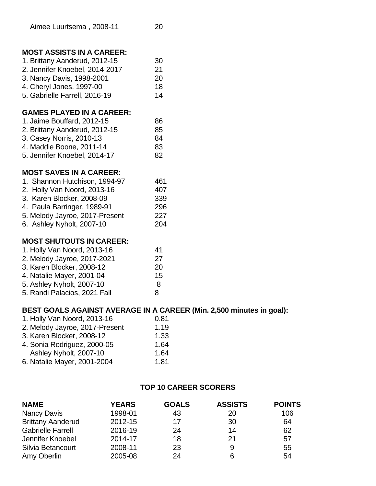## **MOST ASSISTS IN A CAREER:**

| 1. Brittany Aanderud, 2012-15  | 30 |
|--------------------------------|----|
| 2. Jennifer Knoebel, 2014-2017 | 21 |
| 3. Nancy Davis, 1998-2001      | 20 |
| 4. Cheryl Jones, 1997-00       | 18 |
| 5. Gabrielle Farrell, 2016-19  | 14 |
|                                |    |

## **GAMES PLAYED IN A CAREER:**

| 1. Jaime Bouffard, 2012-15    | 86 |
|-------------------------------|----|
| 2. Brittany Aanderud, 2012-15 | 85 |
| 3. Casey Norris, 2010-13      | 84 |
| 4. Maddie Boone, 2011-14      | 83 |
| 5. Jennifer Knoebel, 2014-17  | 82 |

## **MOST SAVES IN A CAREER:**

| 1. Shannon Hutchison, 1994-97  | 461 |
|--------------------------------|-----|
| 2. Holly Van Noord, 2013-16    | 407 |
| 3. Karen Blocker, 2008-09      | 339 |
| 4. Paula Barringer, 1989-91    | 296 |
| 5. Melody Jayroe, 2017-Present | 227 |
| 6. Ashley Nyholt, 2007-10      | 204 |

## **MOST SHUTOUTS IN CAREER:**

| 1. Holly Van Noord, 2013-16  | 41 |
|------------------------------|----|
| 2. Melody Jayroe, 2017-2021  | 27 |
| 3. Karen Blocker, 2008-12    | 20 |
| 4. Natalie Mayer, 2001-04    | 15 |
| 5. Ashley Nyholt, 2007-10    | 8  |
| 5. Randi Palacios, 2021 Fall | 8  |
|                              |    |

## **BEST GOALS AGAINST AVERAGE IN A CAREER (Min. 2,500 minutes in goal):**

| 1. Holly Van Noord, 2013-16    | 0.81 |
|--------------------------------|------|
| 2. Melody Jayroe, 2017-Present | 1.19 |
| 3. Karen Blocker, 2008-12      | 1.33 |
| 4. Sonia Rodriguez, 2000-05    | 1.64 |
| Ashley Nyholt, 2007-10         | 1.64 |
| 6. Natalie Mayer, 2001-2004    | 1.81 |

### **TOP 10 CAREER SCORERS**

| <b>NAME</b>              | <b>YEARS</b> | <b>GOALS</b> | <b>ASSISTS</b> | <b>POINTS</b> |
|--------------------------|--------------|--------------|----------------|---------------|
| Nancy Davis              | 1998-01      | 43           | 20             | 106           |
| <b>Brittany Aanderud</b> | 2012-15      | 17           | 30             | 64            |
| <b>Gabrielle Farrell</b> | 2016-19      | 24           | 14             | 62            |
| Jennifer Knoebel         | 2014-17      | 18           | 21             | 57            |
| Silvia Betancourt        | 2008-11      | 23           | 9              | 55            |
| Amy Oberlin              | 2005-08      | 24           | 6              | 54            |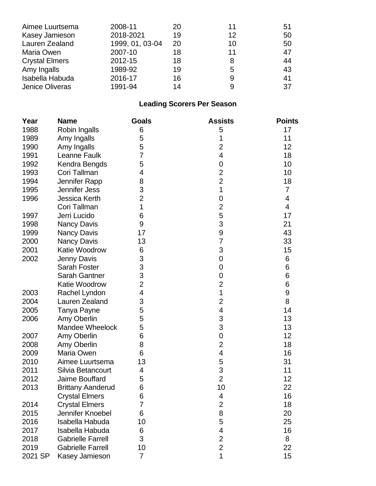| Aimee Luurtsema        | 2008-11         | 20 | 11 | 51 |
|------------------------|-----------------|----|----|----|
| Kasey Jamieson         | 2018-2021       | 19 | 12 | 50 |
| Lauren Zealand         | 1999, 01, 03-04 | 20 | 10 | 50 |
| Maria Owen             | 2007-10         | 18 | 11 | 47 |
| <b>Crystal Elmers</b>  | 2012-15         | 18 | 8  | 44 |
| Amy Ingalls            | 1989-92         | 19 | 5  | 43 |
| Isabella Habuda        | 2016-17         | 16 | 9  | 41 |
| <b>Jenice Oliveras</b> | 1991-94         | 14 | 9  | 37 |

# **Leading Scorers Per Season**

| Year    | <b>Name</b>              | <b>Goals</b>            | <b>Assists</b>          | <b>Points</b>  |
|---------|--------------------------|-------------------------|-------------------------|----------------|
| 1988    | Robin Ingalls            | 6                       | 5                       | 17             |
| 1989    | Amy Ingalls              | 5                       | 1                       | 11             |
| 1990    | Amy Ingalls              | 5                       | $\overline{2}$          | 12             |
| 1991    | Leanne Faulk             | 7                       | 4                       | 18             |
| 1992    | Kendra Bengds            | 5                       | $\mathbf 0$             | 10             |
| 1993    | Cori Tallman             | 4                       | $\overline{2}$          | 10             |
| 1994    | Jennifer Rapp            | 8                       | $\overline{2}$          | 18             |
| 1995    | Jennifer Jess            | 3                       | 1                       | $\overline{7}$ |
| 1996    | Jessica Kerth            | $\overline{2}$          | 0                       | 4              |
|         | Cori Tallman             | 1                       | $\overline{2}$          | 4              |
| 1997    | Jerri Lucido             | 6                       | 5                       | 17             |
| 1998    | Nancy Davis              | 9                       | 3                       | 21             |
| 1999    | <b>Nancy Davis</b>       | 17                      | 9                       | 43             |
| 2000    | Nancy Davis              | 13                      | 7                       | 33             |
| 2001    | Katie Woodrow            | 6                       | 3                       | 15             |
| 2002    | Jenny Davis              | 3                       | 0                       | 6              |
|         | <b>Sarah Foster</b>      | 3                       | 0                       | 6              |
|         | Sarah Gantner            | 3                       | 0                       | 6              |
|         | Katie Woodrow            | $\overline{2}$          | $\overline{c}$          | 6              |
| 2003    | Rachel Lyndon            | $\overline{\mathbf{4}}$ | 1                       | 9              |
| 2004    | Lauren Zealand           | 3                       | $\overline{2}$          | 8              |
| 2005    | Tanya Payne              | 5                       | 4                       | 14             |
| 2006    | Amy Oberlin              | 5                       | 3                       | 13             |
|         | Mandee Wheelock          | 5                       | 3                       | 13             |
| 2007    | Amy Oberlin              | 6                       | $\mathbf 0$             | 12             |
| 2008    | Amy Oberlin              | 8                       | $\overline{2}$          | 18             |
| 2009    | Maria Owen               | 6                       | $\overline{\mathbf{4}}$ | 16             |
| 2010    | Aimee Luurtsema          | 13                      | 5                       | 31             |
| 2011    | Silvia Betancourt        | 4                       | 3                       | 11             |
| 2012    | Jaime Bouffard           | 5                       | $\overline{2}$          | 12             |
| 2013    | <b>Brittany Aanderud</b> | 6                       | 10                      | 22             |
|         | <b>Crystal Elmers</b>    | 6                       | 4                       | 16             |
| 2014    | <b>Crystal Elmers</b>    | 7                       | $\overline{c}$          | 18             |
| 2015    | Jennifer Knoebel         | 6                       | 8                       | 20             |
| 2016    | Isabella Habuda          | 10                      | 5                       | 25             |
| 2017    | Isabella Habuda          | 6                       | $\overline{\mathbf{4}}$ | 16             |
| 2018    | <b>Gabrielle Farrell</b> | 3                       | $\overline{\mathbf{c}}$ | 8              |
| 2019    | <b>Gabrielle Farrell</b> | 10                      | $\overline{2}$          | 22             |
| 2021 SP | Kasey Jamieson           | 7                       | 1                       | 15             |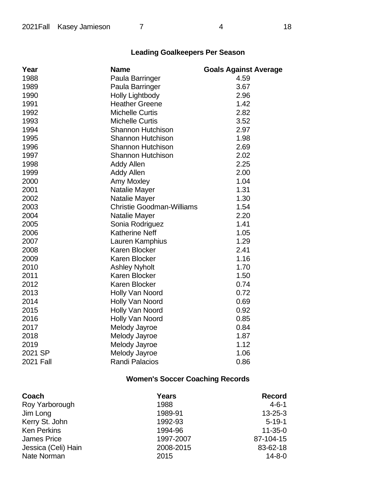| Year             | <b>Name</b>                      | <b>Goals Against Average</b> |
|------------------|----------------------------------|------------------------------|
| 1988             | Paula Barringer                  | 4.59                         |
| 1989             | Paula Barringer                  | 3.67                         |
| 1990             | <b>Holly Lightbody</b>           | 2.96                         |
| 1991             | <b>Heather Greene</b>            | 1.42                         |
| 1992             | <b>Michelle Curtis</b>           | 2.82                         |
| 1993             | <b>Michelle Curtis</b>           | 3.52                         |
| 1994             | <b>Shannon Hutchison</b>         | 2.97                         |
| 1995             | <b>Shannon Hutchison</b>         | 1.98                         |
| 1996             | <b>Shannon Hutchison</b>         | 2.69                         |
| 1997             | Shannon Hutchison                | 2.02                         |
| 1998             | <b>Addy Allen</b>                | 2.25                         |
| 1999             | <b>Addy Allen</b>                | 2.00                         |
| 2000             | <b>Amy Moxley</b>                | 1.04                         |
| 2001             | Natalie Mayer                    | 1.31                         |
| 2002             | Natalie Mayer                    | 1.30                         |
| 2003             | <b>Christie Goodman-Williams</b> | 1.54                         |
| 2004             | Natalie Mayer                    | 2.20                         |
| 2005             | Sonia Rodriguez                  | 1.41                         |
| 2006             | <b>Katherine Neff</b>            | 1.05                         |
| 2007             | Lauren Kamphius                  | 1.29                         |
| 2008             | <b>Karen Blocker</b>             | 2.41                         |
| 2009             | Karen Blocker                    | 1.16                         |
| 2010             | <b>Ashley Nyholt</b>             | 1.70                         |
| 2011             | Karen Blocker                    | 1.50                         |
| 2012             | Karen Blocker                    | 0.74                         |
| 2013             | Holly Van Noord                  | 0.72                         |
| 2014             | Holly Van Noord                  | 0.69                         |
| 2015             | Holly Van Noord                  | 0.92                         |
| 2016             | Holly Van Noord                  | 0.85                         |
| 2017             | Melody Jayroe                    | 0.84                         |
| 2018             | Melody Jayroe                    | 1.87                         |
| 2019             | Melody Jayroe                    | 1.12                         |
| 2021 SP          | Melody Jayroe                    | 1.06                         |
| <b>2021 Fall</b> | <b>Randi Palacios</b>            | 0.86                         |

# **Women's Soccer Coaching Records**

| Coach               | <b>Years</b> | <b>Record</b> |
|---------------------|--------------|---------------|
| Roy Yarborough      | 1988         | $4 - 6 - 1$   |
| Jim Long            | 1989-91      | $13 - 25 - 3$ |
| Kerry St. John      | 1992-93      | $5 - 19 - 1$  |
| <b>Ken Perkins</b>  | 1994-96      | $11 - 35 - 0$ |
| <b>James Price</b>  | 1997-2007    | 87-104-15     |
| Jessica (Celi) Hain | 2008-2015    | 83-62-18      |
| Nate Norman         | 2015         | $14 - 8 - 0$  |